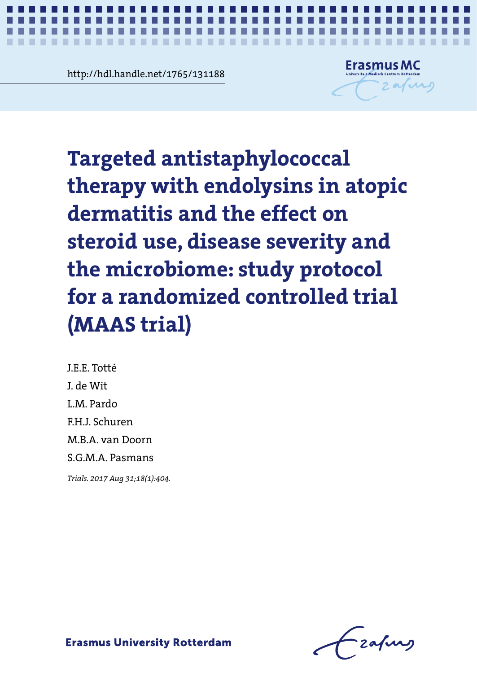**Contramediate 1765/131188**<br> **Contramediate 1765/131188** http://hdl.handle.net/1765/131188



Targeted antistaphylococcal therapy **Targeted antistaphylococcal**  with endolycing in atop and y want the effect on severities and the effect on steroid use, disease severity and the microbiome: study protocol **therapy with endolysins in atopic dermatitis and the effect on for a randomized controlled trial (MAAS trial)**

*Study protocol of a RCT on targeted anti-staphylococcal therapy in atopic dermatitis* **1**

J.E.E. Totté J. de Wit L.M. Pardo F.H.J. Schuren M.B.A. van Doorn S.G.M.A. Pasmans

J.E.E. Totté *Trials. 2017 Aug 31;18(1):404.*

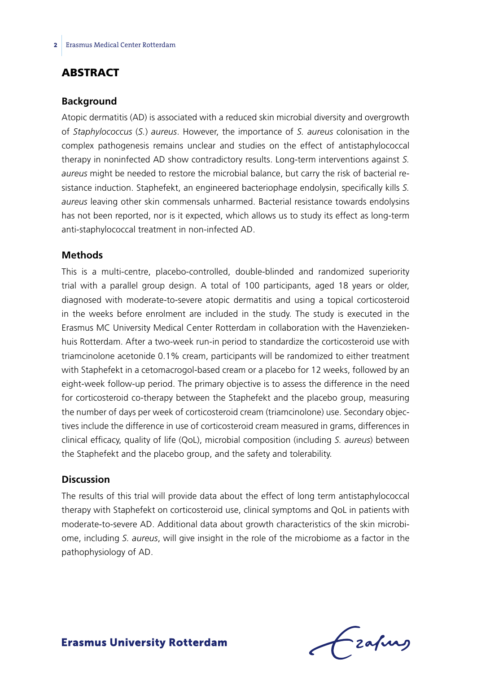## **ABSTRACT**

#### **Background**

Atopic dermatitis (AD) is associated with a reduced skin microbial diversity and overgrowth of *Staphylococcus* (*S.*) *aureus*. However, the importance of *S. aureus* colonisation in the complex pathogenesis remains unclear and studies on the effect of antistaphylococcal therapy in noninfected AD show contradictory results. Long-term interventions against *S. aureus* might be needed to restore the microbial balance, but carry the risk of bacterial resistance induction. Staphefekt, an engineered bacteriophage endolysin, specifically kills *S. aureus* leaving other skin commensals unharmed. Bacterial resistance towards endolysins has not been reported, nor is it expected, which allows us to study its effect as long-term anti-staphylococcal treatment in non-infected AD.

### **Methods**

This is a multi-centre, placebo-controlled, double-blinded and randomized superiority trial with a parallel group design. A total of 100 participants, aged 18 years or older, diagnosed with moderate-to-severe atopic dermatitis and using a topical corticosteroid in the weeks before enrolment are included in the study. The study is executed in the Erasmus MC University Medical Center Rotterdam in collaboration with the Havenziekenhuis Rotterdam. After a two-week run-in period to standardize the corticosteroid use with triamcinolone acetonide 0.1% cream, participants will be randomized to either treatment with Staphefekt in a cetomacrogol-based cream or a placebo for 12 weeks, followed by an eight-week follow-up period. The primary objective is to assess the difference in the need for corticosteroid co-therapy between the Staphefekt and the placebo group, measuring the number of days per week of corticosteroid cream (triamcinolone) use. Secondary objectives include the difference in use of corticosteroid cream measured in grams, differences in clinical efficacy, quality of life (QoL), microbial composition (including *S. aureus*) between the Staphefekt and the placebo group, and the safety and tolerability.

### **Discussion**

The results of this trial will provide data about the effect of long term antistaphylococcal therapy with Staphefekt on corticosteroid use, clinical symptoms and QoL in patients with moderate-to-severe AD. Additional data about growth characteristics of the skin microbiome, including *S. aureus*, will give insight in the role of the microbiome as a factor in the pathophysiology of AD.

Frafing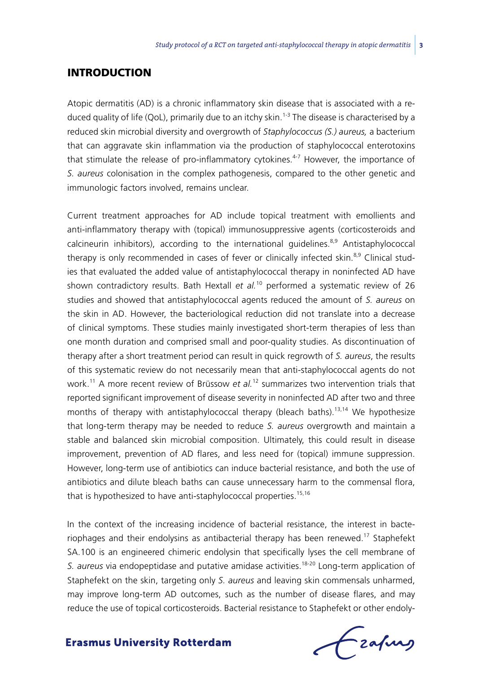## **INTRODUCTION**

Atopic dermatitis (AD) is a chronic inflammatory skin disease that is associated with a reduced quality of life (QoL), primarily due to an itchy skin.<sup>1-3</sup> The disease is characterised by a reduced skin microbial diversity and overgrowth of *Staphylococcus (S.) aureus,* a bacterium that can aggravate skin inflammation via the production of staphylococcal enterotoxins that stimulate the release of pro-inflammatory cytokines.<sup>4-7</sup> However, the importance of *S. aureus* colonisation in the complex pathogenesis, compared to the other genetic and immunologic factors involved, remains unclear.

Current treatment approaches for AD include topical treatment with emollients and anti-inflammatory therapy with (topical) immunosuppressive agents (corticosteroids and calcineurin inhibitors), according to the international quidelines. $8,9$  Antistaphylococcal therapy is only recommended in cases of fever or clinically infected skin.<sup>8,9</sup> Clinical studies that evaluated the added value of antistaphylococcal therapy in noninfected AD have shown contradictory results. Bath Hextall *et al.*10 performed a systematic review of 26 studies and showed that antistaphylococcal agents reduced the amount of *S. aureus* on the skin in AD. However, the bacteriological reduction did not translate into a decrease of clinical symptoms. These studies mainly investigated short-term therapies of less than one month duration and comprised small and poor-quality studies. As discontinuation of therapy after a short treatment period can result in quick regrowth of *S. aureus*, the results of this systematic review do not necessarily mean that anti-staphylococcal agents do not work.11 A more recent review of Brüssow *et al.*12 summarizes two intervention trials that reported significant improvement of disease severity in noninfected AD after two and three months of therapy with antistaphylococcal therapy (bleach baths).<sup>13,14</sup> We hypothesize that long-term therapy may be needed to reduce *S. aureus* overgrowth and maintain a stable and balanced skin microbial composition. Ultimately, this could result in disease improvement, prevention of AD flares, and less need for (topical) immune suppression. However, long-term use of antibiotics can induce bacterial resistance, and both the use of antibiotics and dilute bleach baths can cause unnecessary harm to the commensal flora, that is hypothesized to have anti-staphylococcal properties.<sup>15,16</sup>

In the context of the increasing incidence of bacterial resistance, the interest in bacteriophages and their endolysins as antibacterial therapy has been renewed.<sup>17</sup> Staphefekt SA.100 is an engineered chimeric endolysin that specifically lyses the cell membrane of *S. aureus* via endopeptidase and putative amidase activities.18-20 Long-term application of Staphefekt on the skin, targeting only *S. aureus* and leaving skin commensals unharmed, may improve long-term AD outcomes, such as the number of disease flares, and may reduce the use of topical corticosteroids. Bacterial resistance to Staphefekt or other endoly-

frafing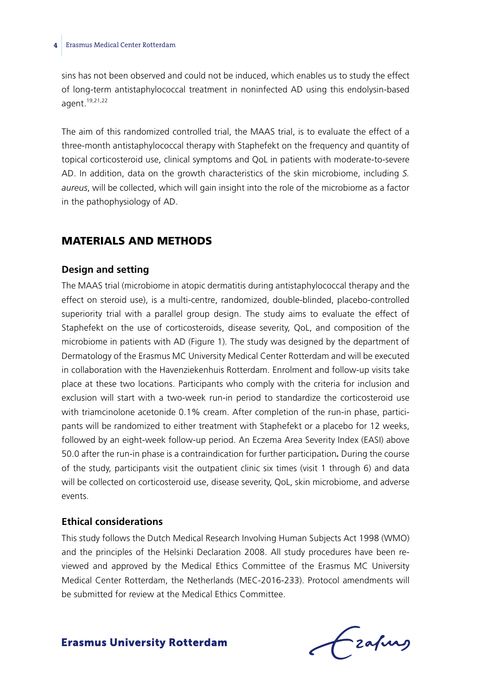sins has not been observed and could not be induced, which enables us to study the effect of long-term antistaphylococcal treatment in noninfected AD using this endolysin-based agent.19,21,22

The aim of this randomized controlled trial, the MAAS trial, is to evaluate the effect of a three-month antistaphylococcal therapy with Staphefekt on the frequency and quantity of topical corticosteroid use, clinical symptoms and QoL in patients with moderate-to-severe AD. In addition, data on the growth characteristics of the skin microbiome, including *S. aureus*, will be collected, which will gain insight into the role of the microbiome as a factor in the pathophysiology of AD.

## Materials and methods

### **Design and setting**

The MAAS trial (microbiome in atopic dermatitis during antistaphylococcal therapy and the effect on steroid use), is a multi-centre, randomized, double-blinded, placebo-controlled superiority trial with a parallel group design. The study aims to evaluate the effect of Staphefekt on the use of corticosteroids, disease severity, QoL, and composition of the microbiome in patients with AD (Figure 1)*.* The study was designed by the department of Dermatology of the Erasmus MC University Medical Center Rotterdam and will be executed in collaboration with the Havenziekenhuis Rotterdam. Enrolment and follow-up visits take place at these two locations. Participants who comply with the criteria for inclusion and exclusion will start with a two-week run-in period to standardize the corticosteroid use with triamcinolone acetonide 0.1% cream. After completion of the run-in phase, participants will be randomized to either treatment with Staphefekt or a placebo for 12 weeks, followed by an eight-week follow-up period. An Eczema Area Severity Index (EASI) above 50.0 after the run-in phase is a contraindication for further participation*.* During the course of the study, participants visit the outpatient clinic six times (visit 1 through 6) and data will be collected on corticosteroid use, disease severity, QoL, skin microbiome, and adverse events.

## **Ethical considerations**

This study follows the Dutch Medical Research Involving Human Subjects Act 1998 (WMO) and the principles of the Helsinki Declaration 2008. All study procedures have been reviewed and approved by the Medical Ethics Committee of the Erasmus MC University Medical Center Rotterdam, the Netherlands (MEC-2016-233). Protocol amendments will be submitted for review at the Medical Ethics Committee.

frafing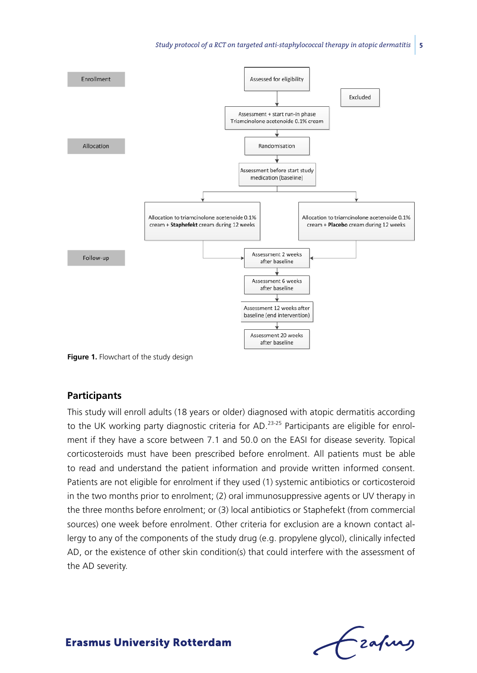

**Figure 1.** Flowchart of the study design

#### **Participants**

This study will enroll adults (18 years or older) diagnosed with atopic dermatitis according to the UK working party diagnostic criteria for AD.<sup>23-25</sup> Participants are eligible for enrolment if they have a score between 7.1 and 50.0 on the EASI for disease severity. Topical corticosteroids must have been prescribed before enrolment. All patients must be able to read and understand the patient information and provide written informed consent. Patients are not eligible for enrolment if they used (1) systemic antibiotics or corticosteroid in the two months prior to enrolment; (2) oral immunosuppressive agents or UV therapy in the three months before enrolment; or (3) local antibiotics or Staphefekt (from commercial sources) one week before enrolment. Other criteria for exclusion are a known contact allergy to any of the components of the study drug (e.g. propylene glycol), clinically infected AD, or the existence of other skin condition(s) that could interfere with the assessment of the AD severity.

frafing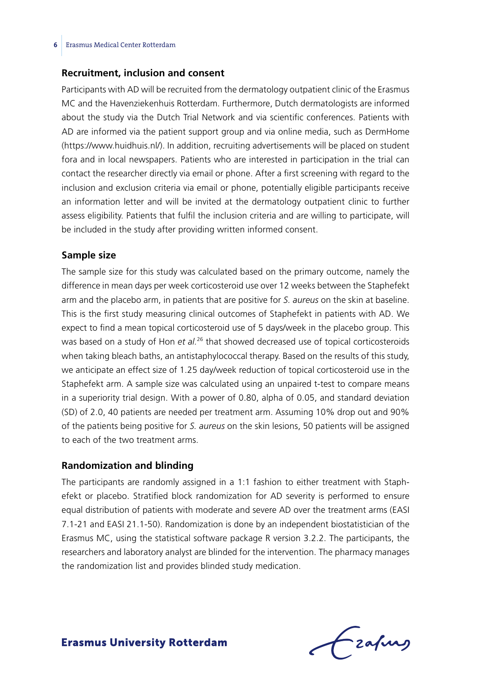### **Recruitment, inclusion and consent**

Participants with AD will be recruited from the dermatology outpatient clinic of the Erasmus MC and the Havenziekenhuis Rotterdam. Furthermore, Dutch dermatologists are informed about the study via the Dutch Trial Network and via scientific conferences. Patients with AD are informed via the patient support group and via online media, such as DermHome (https://www.huidhuis.nl/). In addition, recruiting advertisements will be placed on student fora and in local newspapers. Patients who are interested in participation in the trial can contact the researcher directly via email or phone. After a first screening with regard to the inclusion and exclusion criteria via email or phone, potentially eligible participants receive an information letter and will be invited at the dermatology outpatient clinic to further assess eligibility. Patients that fulfil the inclusion criteria and are willing to participate, will be included in the study after providing written informed consent.

### **Sample size**

The sample size for this study was calculated based on the primary outcome, namely the difference in mean days per week corticosteroid use over 12 weeks between the Staphefekt arm and the placebo arm, in patients that are positive for *S. aureus* on the skin at baseline. This is the first study measuring clinical outcomes of Staphefekt in patients with AD. We expect to find a mean topical corticosteroid use of 5 days/week in the placebo group. This was based on a study of Hon *et al.*26 that showed decreased use of topical corticosteroids when taking bleach baths, an antistaphylococcal therapy. Based on the results of this study, we anticipate an effect size of 1.25 day/week reduction of topical corticosteroid use in the Staphefekt arm. A sample size was calculated using an unpaired t-test to compare means in a superiority trial design. With a power of 0.80, alpha of 0.05, and standard deviation (SD) of 2.0, 40 patients are needed per treatment arm. Assuming 10% drop out and 90% of the patients being positive for *S. aureus* on the skin lesions, 50 patients will be assigned to each of the two treatment arms.

### **Randomization and blinding**

The participants are randomly assigned in a 1:1 fashion to either treatment with Staphefekt or placebo. Stratified block randomization for AD severity is performed to ensure equal distribution of patients with moderate and severe AD over the treatment arms (EASI 7.1-21 and EASI 21.1-50). Randomization is done by an independent biostatistician of the Erasmus MC, using the statistical software package R version 3.2.2. The participants, the researchers and laboratory analyst are blinded for the intervention. The pharmacy manages the randomization list and provides blinded study medication.

Frafing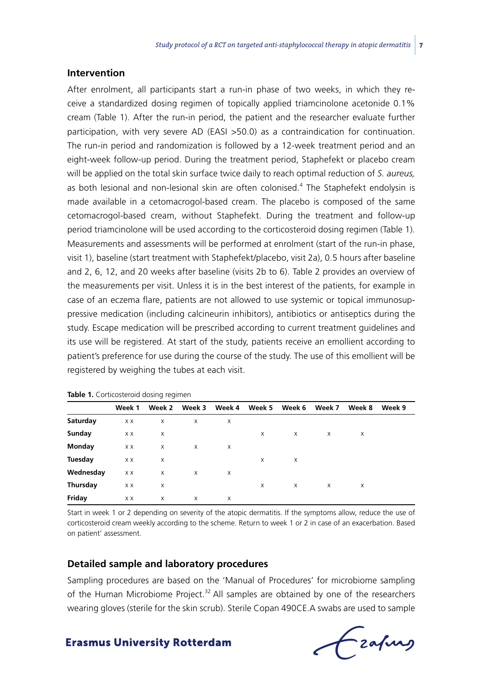### **Intervention**

After enrolment, all participants start a run-in phase of two weeks, in which they receive a standardized dosing regimen of topically applied triamcinolone acetonide 0.1% cream (Table 1). After the run-in period, the patient and the researcher evaluate further participation, with very severe AD (EASI >50.0) as a contraindication for continuation. The run-in period and randomization is followed by a 12-week treatment period and an eight-week follow-up period. During the treatment period, Staphefekt or placebo cream will be applied on the total skin surface twice daily to reach optimal reduction of *S. aureus,*  as both lesional and non-lesional skin are often colonised.<sup>4</sup> The Staphefekt endolysin is made available in a cetomacrogol-based cream. The placebo is composed of the same cetomacrogol-based cream, without Staphefekt. During the treatment and follow-up period triamcinolone will be used according to the corticosteroid dosing regimen (Table 1). Measurements and assessments will be performed at enrolment (start of the run-in phase, visit 1), baseline (start treatment with Staphefekt/placebo, visit 2a), 0.5 hours after baseline and 2, 6, 12, and 20 weeks after baseline (visits 2b to 6). Table 2 provides an overview of the measurements per visit. Unless it is in the best interest of the patients, for example in case of an eczema flare, patients are not allowed to use systemic or topical immunosuppressive medication (including calcineurin inhibitors), antibiotics or antiseptics during the study. Escape medication will be prescribed according to current treatment guidelines and its use will be registered. At start of the study, patients receive an emollient according to patient's preference for use during the course of the study. The use of this emollient will be registered by weighing the tubes at each visit.

|           | Week 1 | Week 2   | Week 3   | Week 4 | Week 5 | Week 6 | Week 7   | Week 8 | Week 9 |  |  |
|-----------|--------|----------|----------|--------|--------|--------|----------|--------|--------|--|--|
| Saturday  | X X    | X        | X        | X      |        |        |          |        |        |  |  |
| Sunday    | ХX     | X        |          |        | X      | X      | $\times$ | X      |        |  |  |
| Monday    | X X    | $\times$ | $\times$ | X      |        |        |          |        |        |  |  |
| Tuesday   | ХX     | X        |          |        | X      | X      |          |        |        |  |  |
| Wednesday | X X    | X        | X        | X      |        |        |          |        |        |  |  |
| Thursday  | X X    | X        |          |        | X      | X      | $\times$ | X      |        |  |  |
| Friday    | ХX     | X        | X        | X      |        |        |          |        |        |  |  |

**Table 1.** Corticosteroid dosing regimen

Start in week 1 or 2 depending on severity of the atopic dermatitis. If the symptoms allow, reduce the use of corticosteroid cream weekly according to the scheme. Return to week 1 or 2 in case of an exacerbation. Based on patient' assessment.

### **Detailed sample and laboratory procedures**

Sampling procedures are based on the 'Manual of Procedures' for microbiome sampling of the Human Microbiome Project. $32$  All samples are obtained by one of the researchers wearing gloves (sterile for the skin scrub). Sterile Copan 490CE.A swabs are used to sample

frafing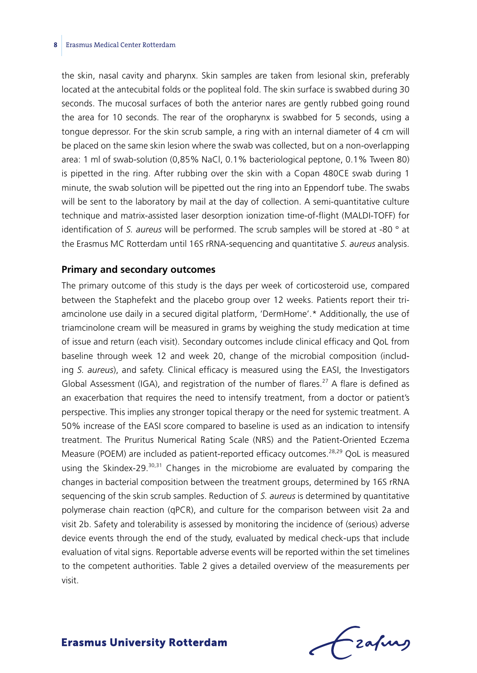#### **8** Erasmus Medical Center Rotterdam

the skin, nasal cavity and pharynx. Skin samples are taken from lesional skin, preferably located at the antecubital folds or the popliteal fold. The skin surface is swabbed during 30 seconds. The mucosal surfaces of both the anterior nares are gently rubbed going round the area for 10 seconds. The rear of the oropharynx is swabbed for 5 seconds, using a tongue depressor. For the skin scrub sample, a ring with an internal diameter of 4 cm will be placed on the same skin lesion where the swab was collected, but on a non-overlapping area: 1 ml of swab-solution (0,85% NaCl, 0.1% bacteriological peptone, 0.1% Tween 80) is pipetted in the ring. After rubbing over the skin with a Copan 480CE swab during 1 minute, the swab solution will be pipetted out the ring into an Eppendorf tube. The swabs will be sent to the laboratory by mail at the day of collection. A semi-quantitative culture technique and matrix-assisted laser desorption ionization time-of-flight (MALDI-TOFF) for identification of *S. aureus* will be performed. The scrub samples will be stored at -80 ° at the Erasmus MC Rotterdam until 16S rRNA-sequencing and quantitative *S. aureus* analysis.

#### **Primary and secondary outcomes**

The primary outcome of this study is the days per week of corticosteroid use, compared between the Staphefekt and the placebo group over 12 weeks. Patients report their triamcinolone use daily in a secured digital platform, 'DermHome'.\* Additionally, the use of triamcinolone cream will be measured in grams by weighing the study medication at time of issue and return (each visit). Secondary outcomes include clinical efficacy and QoL from baseline through week 12 and week 20, change of the microbial composition (including *S. aureus*), and safety. Clinical efficacy is measured using the EASI, the Investigators Global Assessment (IGA), and registration of the number of flares.<sup>27</sup> A flare is defined as an exacerbation that requires the need to intensify treatment, from a doctor or patient's perspective. This implies any stronger topical therapy or the need for systemic treatment. A 50% increase of the EASI score compared to baseline is used as an indication to intensify treatment. The Pruritus Numerical Rating Scale (NRS) and the Patient-Oriented Eczema Measure (POEM) are included as patient-reported efficacy outcomes.<sup>28,29</sup> QoL is measured using the Skindex-29. $30,31$  Changes in the microbiome are evaluated by comparing the changes in bacterial composition between the treatment groups, determined by 16S rRNA sequencing of the skin scrub samples. Reduction of *S. aureus* is determined by quantitative polymerase chain reaction (qPCR), and culture for the comparison between visit 2a and visit 2b. Safety and tolerability is assessed by monitoring the incidence of (serious) adverse device events through the end of the study, evaluated by medical check-ups that include evaluation of vital signs. Reportable adverse events will be reported within the set timelines to the competent authorities. Table 2 gives a detailed overview of the measurements per visit.

Frafing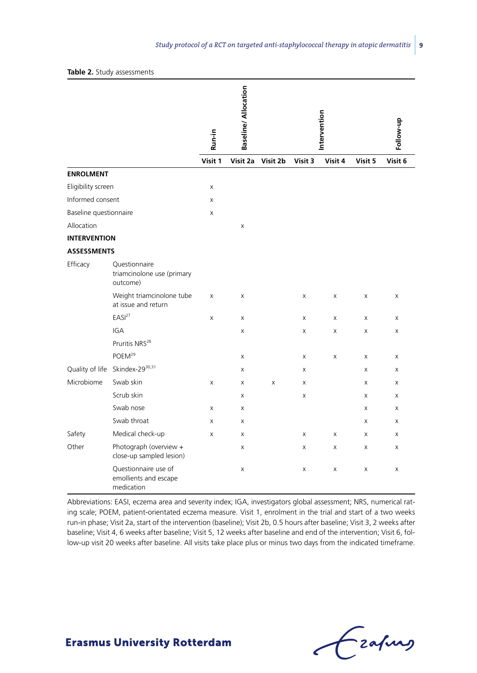|                        |                                                             | Run-in       | <b>Baseline/Allocation</b> |          |              | Intervention |              | Follow-up |
|------------------------|-------------------------------------------------------------|--------------|----------------------------|----------|--------------|--------------|--------------|-----------|
|                        |                                                             | Visit 1      | Visit 2a                   | Visit 2b | Visit 3      | Visit 4      | Visit 5      | Visit 6   |
| <b>ENROLMENT</b>       |                                                             |              |                            |          |              |              |              |           |
| Eligibility screen     |                                                             | $\mathsf{x}$ |                            |          |              |              |              |           |
| Informed consent       |                                                             | X            |                            |          |              |              |              |           |
| Baseline questionnaire |                                                             | X            |                            |          |              |              |              |           |
| Allocation             |                                                             |              | X                          |          |              |              |              |           |
| <b>INTERVENTION</b>    |                                                             |              |                            |          |              |              |              |           |
| <b>ASSESSMENTS</b>     |                                                             |              |                            |          |              |              |              |           |
| Efficacy               | Questionnaire<br>triamcinolone use (primary<br>outcome)     |              |                            |          |              |              |              |           |
|                        | Weight triamcinolone tube<br>at issue and return            | X            | $\mathsf{x}$               |          | X            | X            | $\times$     | X         |
|                        | EASI <sup>27</sup>                                          | X            | X                          |          | X            | X            | X            | X         |
|                        | <b>IGA</b>                                                  |              | X                          |          | X            | X            | X            | X         |
|                        | Pruritis NRS <sup>28</sup>                                  |              |                            |          |              |              |              |           |
|                        | POEM <sup>29</sup>                                          |              | X                          |          | X            | X            | X            | X         |
|                        | Quality of life Skindex-2930,31                             |              | X                          |          | X            |              | X            | X         |
| Microbiome             | Swab skin                                                   | X            | $\boldsymbol{\mathsf{X}}$  | X        | X            |              | X            | X         |
|                        | Scrub skin                                                  |              | $\mathsf{x}$               |          | X            |              | $\mathsf{x}$ | X         |
|                        | Swab nose                                                   | X            | Χ                          |          |              |              | X            | X         |
|                        | Swab throat                                                 | X            | $\boldsymbol{\mathsf{X}}$  |          |              |              | X            | X         |
| Safety                 | Medical check-up                                            | X            | X                          |          | $\mathsf{x}$ | X            | $\mathsf{x}$ | X         |
| Other                  | Photograph (overview +<br>close-up sampled lesion)          |              | X                          |          | X            | X            | X            | X         |
|                        | Questionnaire use of<br>emollients and escape<br>medication |              | X                          |          | X            | Χ            | X            | X         |

Abbreviations: EASI, eczema area and severity index; IGA, investigators global assessment; NRS, numerical rating scale; POEM, patient-orientated eczema measure. Visit 1, enrolment in the trial and start of a two weeks run-in phase; Visit 2a, start of the intervention (baseline); Visit 2b, 0.5 hours after baseline; Visit 3, 2 weeks after baseline; Visit 4, 6 weeks after baseline; Visit 5, 12 weeks after baseline and end of the intervention; Visit 6, follow-up visit 20 weeks after baseline. All visits take place plus or minus two days from the indicated timeframe.

Frahing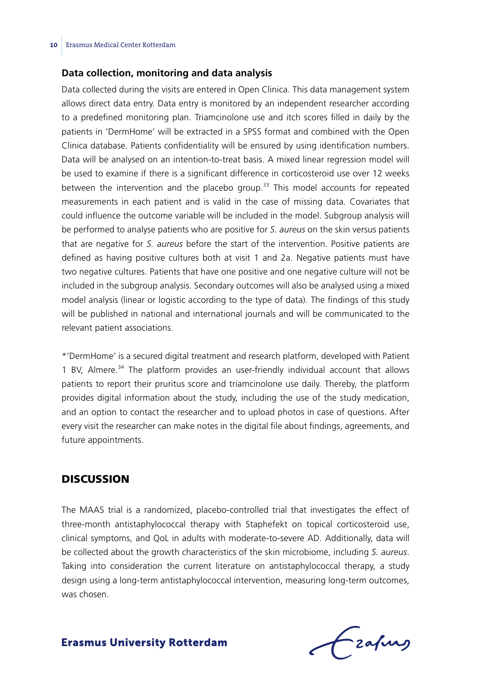### **Data collection, monitoring and data analysis**

Data collected during the visits are entered in Open Clinica. This data management system allows direct data entry. Data entry is monitored by an independent researcher according to a predefined monitoring plan. Triamcinolone use and itch scores filled in daily by the patients in 'DermHome' will be extracted in a SPSS format and combined with the Open Clinica database. Patients confidentiality will be ensured by using identification numbers. Data will be analysed on an intention-to-treat basis. A mixed linear regression model will be used to examine if there is a significant difference in corticosteroid use over 12 weeks between the intervention and the placebo group. $33$  This model accounts for repeated measurements in each patient and is valid in the case of missing data. Covariates that could influence the outcome variable will be included in the model. Subgroup analysis will be performed to analyse patients who are positive for *S. aureus* on the skin versus patients that are negative for *S. aureus* before the start of the intervention. Positive patients are defined as having positive cultures both at visit 1 and 2a. Negative patients must have two negative cultures. Patients that have one positive and one negative culture will not be included in the subgroup analysis. Secondary outcomes will also be analysed using a mixed model analysis (linear or logistic according to the type of data). The findings of this study will be published in national and international journals and will be communicated to the relevant patient associations.

\*'DermHome' is a secured digital treatment and research platform, developed with Patient 1 BV, Almere.<sup>34</sup> The platform provides an user-friendly individual account that allows patients to report their pruritus score and triamcinolone use daily. Thereby, the platform provides digital information about the study, including the use of the study medication, and an option to contact the researcher and to upload photos in case of questions. After every visit the researcher can make notes in the digital file about findings, agreements, and future appointments.

## **DISCUSSION**

The MAAS trial is a randomized, placebo-controlled trial that investigates the effect of three-month antistaphylococcal therapy with Staphefekt on topical corticosteroid use, clinical symptoms, and QoL in adults with moderate-to-severe AD. Additionally, data will be collected about the growth characteristics of the skin microbiome, including *S. aureus*. Taking into consideration the current literature on antistaphylococcal therapy, a study design using a long-term antistaphylococcal intervention, measuring long-term outcomes, was chosen.

Lzafurg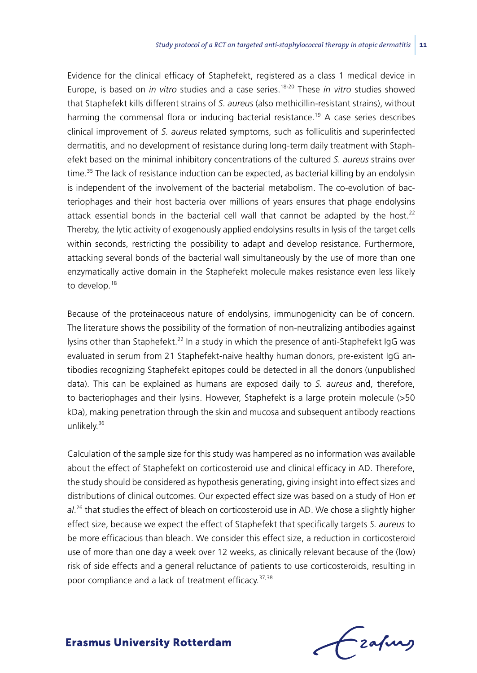Evidence for the clinical efficacy of Staphefekt, registered as a class 1 medical device in Europe, is based on *in vitro* studies and a case series.18-20 These *in vitro* studies showed that Staphefekt kills different strains of *S. aureus* (also methicillin-resistant strains), without harming the commensal flora or inducing bacterial resistance.<sup>19</sup> A case series describes clinical improvement of *S. aureus* related symptoms, such as folliculitis and superinfected dermatitis, and no development of resistance during long-term daily treatment with Staphefekt based on the minimal inhibitory concentrations of the cultured *S. aureus* strains over time.<sup>35</sup> The lack of resistance induction can be expected, as bacterial killing by an endolysin is independent of the involvement of the bacterial metabolism. The co-evolution of bacteriophages and their host bacteria over millions of years ensures that phage endolysins attack essential bonds in the bacterial cell wall that cannot be adapted by the host.<sup>22</sup> Thereby, the lytic activity of exogenously applied endolysins results in lysis of the target cells within seconds, restricting the possibility to adapt and develop resistance. Furthermore, attacking several bonds of the bacterial wall simultaneously by the use of more than one enzymatically active domain in the Staphefekt molecule makes resistance even less likely to develop.<sup>18</sup>

Because of the proteinaceous nature of endolysins, immunogenicity can be of concern. The literature shows the possibility of the formation of non-neutralizing antibodies against lysins other than Staphefekt.<sup>22</sup> In a study in which the presence of anti-Staphefekt IgG was evaluated in serum from 21 Staphefekt-naive healthy human donors, pre-existent IgG antibodies recognizing Staphefekt epitopes could be detected in all the donors (unpublished data). This can be explained as humans are exposed daily to *S. aureus* and, therefore, to bacteriophages and their lysins. However, Staphefekt is a large protein molecule (>50 kDa), making penetration through the skin and mucosa and subsequent antibody reactions unlikely.<sup>36</sup>

Calculation of the sample size for this study was hampered as no information was available about the effect of Staphefekt on corticosteroid use and clinical efficacy in AD. Therefore, the study should be considered as hypothesis generating, giving insight into effect sizes and distributions of clinical outcomes. Our expected effect size was based on a study of Hon *et al*. 26 that studies the effect of bleach on corticosteroid use in AD. We chose a slightly higher effect size, because we expect the effect of Staphefekt that specifically targets *S. aureus* to be more efficacious than bleach. We consider this effect size, a reduction in corticosteroid use of more than one day a week over 12 weeks, as clinically relevant because of the (low) risk of side effects and a general reluctance of patients to use corticosteroids, resulting in poor compliance and a lack of treatment efficacy.<sup>37,38</sup>

-zafurs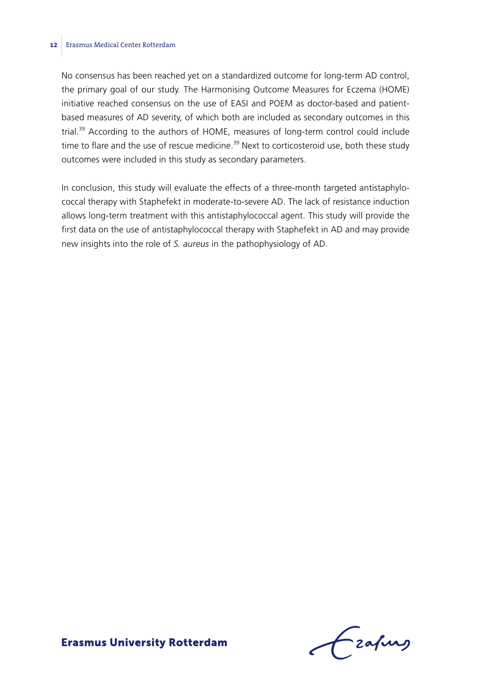#### **12** Erasmus Medical Center Rotterdam

No consensus has been reached yet on a standardized outcome for long-term AD control, the primary goal of our study. The Harmonising Outcome Measures for Eczema (HOME) initiative reached consensus on the use of EASI and POEM as doctor-based and patientbased measures of AD severity, of which both are included as secondary outcomes in this trial.<sup>39</sup> According to the authors of HOME, measures of long-term control could include time to flare and the use of rescue medicine.<sup>39</sup> Next to corticosteroid use, both these study outcomes were included in this study as secondary parameters.

In conclusion, this study will evaluate the effects of a three-month targeted antistaphylococcal therapy with Staphefekt in moderate-to-severe AD. The lack of resistance induction allows long-term treatment with this antistaphylococcal agent. This study will provide the first data on the use of antistaphylococcal therapy with Staphefekt in AD and may provide new insights into the role of *S. aureus* in the pathophysiology of AD.

 $f$  zafung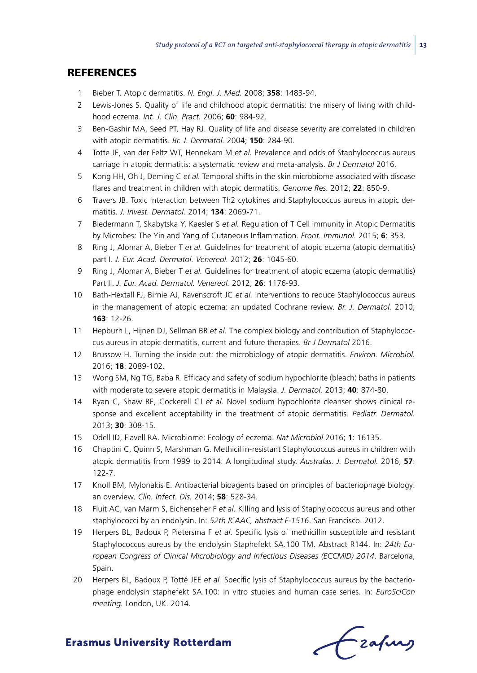## **REFERENCES**

- 1 Bieber T. Atopic dermatitis. *N. Engl. J. Med.* 2008; **358**: 1483-94.
- 2 Lewis-Jones S. Quality of life and childhood atopic dermatitis: the misery of living with childhood eczema. *Int. J. Clin. Pract.* 2006; **60**: 984-92.
- 3 Ben-Gashir MA, Seed PT, Hay RJ. Quality of life and disease severity are correlated in children with atopic dermatitis. *Br. J. Dermatol.* 2004; **150**: 284-90.
- 4 Totte JE, van der Feltz WT, Hennekam M *et al.* Prevalence and odds of Staphylococcus aureus carriage in atopic dermatitis: a systematic review and meta-analysis. *Br J Dermatol* 2016.
- 5 Kong HH, Oh J, Deming C *et al.* Temporal shifts in the skin microbiome associated with disease flares and treatment in children with atopic dermatitis. *Genome Res.* 2012; **22**: 850-9.
- 6 Travers JB. Toxic interaction between Th2 cytokines and Staphylococcus aureus in atopic dermatitis. *J. Invest. Dermatol.* 2014; **134**: 2069-71.
- 7 Biedermann T, Skabytska Y, Kaesler S *et al.* Regulation of T Cell Immunity in Atopic Dermatitis by Microbes: The Yin and Yang of Cutaneous Inflammation. *Front. Immunol.* 2015; **6**: 353.
- 8 Ring J, Alomar A, Bieber T *et al.* Guidelines for treatment of atopic eczema (atopic dermatitis) part I. *J. Eur. Acad. Dermatol. Venereol.* 2012; **26**: 1045-60.
- 9 Ring J, Alomar A, Bieber T *et al.* Guidelines for treatment of atopic eczema (atopic dermatitis) Part II. *J. Eur. Acad. Dermatol. Venereol.* 2012; **26**: 1176-93.
- 10 Bath-Hextall FJ, Birnie AJ, Ravenscroft JC *et al.* Interventions to reduce Staphylococcus aureus in the management of atopic eczema: an updated Cochrane review. *Br. J. Dermatol.* 2010; **163**: 12-26.
- 11 Hepburn L, Hijnen DJ, Sellman BR *et al.* The complex biology and contribution of Staphylococcus aureus in atopic dermatitis, current and future therapies. *Br J Dermatol* 2016.
- 12 Brussow H. Turning the inside out: the microbiology of atopic dermatitis. *Environ. Microbiol.* 2016; **18**: 2089-102.
- 13 Wong SM, Ng TG, Baba R. Efficacy and safety of sodium hypochlorite (bleach) baths in patients with moderate to severe atopic dermatitis in Malaysia. *J. Dermatol.* 2013; **40**: 874-80.
- 14 Ryan C, Shaw RE, Cockerell CJ *et al.* Novel sodium hypochlorite cleanser shows clinical response and excellent acceptability in the treatment of atopic dermatitis. *Pediatr. Dermatol.* 2013; **30**: 308-15.
- 15 Odell ID, Flavell RA. Microbiome: Ecology of eczema. *Nat Microbiol* 2016; **1**: 16135.
- 16 Chaptini C, Quinn S, Marshman G. Methicillin-resistant Staphylococcus aureus in children with atopic dermatitis from 1999 to 2014: A longitudinal study. *Australas. J. Dermatol.* 2016; **57**: 122-7.
- 17 Knoll BM, Mylonakis E. Antibacterial bioagents based on principles of bacteriophage biology: an overview. *Clin. Infect. Dis.* 2014; **58**: 528-34.
- 18 Fluit AC, van Marm S, Eichenseher F *et al.* Killing and lysis of Staphylococcus aureus and other staphylococci by an endolysin. In: *52th ICAAC, abstract F-1516*. San Francisco. 2012.
- 19 Herpers BL, Badoux P, Pietersma F *et al.* Specific lysis of methicillin susceptible and resistant Staphylococcus aureus by the endolysin Staphefekt SA.100 TM. Abstract R144. In: *24th European Congress of Clinical Microbiology and Infectious Diseases (ECCMID) 2014*. Barcelona, Spain.
- 20 Herpers BL, Badoux P, Totté JEE *et al.* Specific lysis of Staphylococcus aureus by the bacteriophage endolysin staphefekt SA.100: in vitro studies and human case series. In: *EuroSciCon meeting*. London, UK. 2014.

Czafing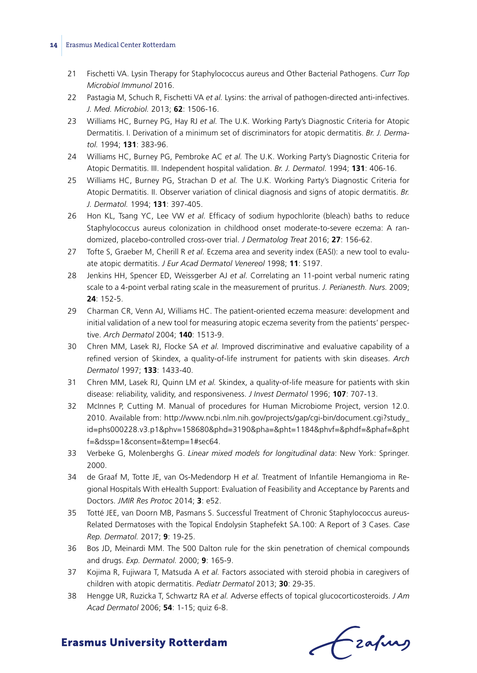#### **14** Erasmus Medical Center Rotterdam

- 21 Fischetti VA. Lysin Therapy for Staphylococcus aureus and Other Bacterial Pathogens. *Curr Top Microbiol Immunol* 2016.
- 22 Pastagia M, Schuch R, Fischetti VA *et al.* Lysins: the arrival of pathogen-directed anti-infectives. *J. Med. Microbiol.* 2013; **62**: 1506-16.
- 23 Williams HC, Burney PG, Hay RJ *et al.* The U.K. Working Party's Diagnostic Criteria for Atopic Dermatitis. I. Derivation of a minimum set of discriminators for atopic dermatitis. *Br. J. Dermatol.* 1994; **131**: 383-96.
- 24 Williams HC, Burney PG, Pembroke AC *et al.* The U.K. Working Party's Diagnostic Criteria for Atopic Dermatitis. III. Independent hospital validation. *Br. J. Dermatol.* 1994; **131**: 406-16.
- 25 Williams HC, Burney PG, Strachan D *et al.* The U.K. Working Party's Diagnostic Criteria for Atopic Dermatitis. II. Observer variation of clinical diagnosis and signs of atopic dermatitis. *Br. J. Dermatol.* 1994; **131**: 397-405.
- 26 Hon KL, Tsang YC, Lee VW *et al.* Efficacy of sodium hypochlorite (bleach) baths to reduce Staphylococcus aureus colonization in childhood onset moderate-to-severe eczema: A randomized, placebo-controlled cross-over trial. *J Dermatolog Treat* 2016; **27**: 156-62.
- 27 Tofte S, Graeber M, Cherill R *et al.* Eczema area and severity index (EASI): a new tool to evaluate atopic dermatitis. *J Eur Acad Dermatol Venereol* 1998; **11**: S197.
- 28 Jenkins HH, Spencer ED, Weissgerber AJ *et al.* Correlating an 11-point verbal numeric rating scale to a 4-point verbal rating scale in the measurement of pruritus. *J. Perianesth. Nurs.* 2009; **24**: 152-5.
- 29 Charman CR, Venn AJ, Williams HC. The patient-oriented eczema measure: development and initial validation of a new tool for measuring atopic eczema severity from the patients' perspective. *Arch Dermatol* 2004; **140**: 1513-9.
- 30 Chren MM, Lasek RJ, Flocke SA *et al.* Improved discriminative and evaluative capability of a refined version of Skindex, a quality-of-life instrument for patients with skin diseases. *Arch Dermatol* 1997; **133**: 1433-40.
- 31 Chren MM, Lasek RJ, Quinn LM *et al.* Skindex, a quality-of-life measure for patients with skin disease: reliability, validity, and responsiveness. *J Invest Dermatol* 1996; **107**: 707-13.
- 32 McInnes P, Cutting M. Manual of procedures for Human Microbiome Project, version 12.0. 2010. Available from: http://www.ncbi.nlm.nih.gov/projects/gap/cgi-bin/document.cgi?study\_ id=phs000228.v3.p1&phv=158680&phd=3190&pha=&pht=1184&phvf=&phdf=&phaf=&pht f=&dssp=1&consent=&temp=1#sec64.
- 33 Verbeke G, Molenberghs G. *Linear mixed models for longitudinal data*: New York: Springer. 2000.
- 34 de Graaf M, Totte JE, van Os-Medendorp H *et al.* Treatment of Infantile Hemangioma in Regional Hospitals With eHealth Support: Evaluation of Feasibility and Acceptance by Parents and Doctors. *JMIR Res Protoc* 2014; **3**: e52.
- 35 Totté JEE, van Doorn MB, Pasmans S. Successful Treatment of Chronic Staphylococcus aureus-Related Dermatoses with the Topical Endolysin Staphefekt SA.100: A Report of 3 Cases. *Case Rep. Dermatol.* 2017; **9**: 19-25.
- 36 Bos JD, Meinardi MM. The 500 Dalton rule for the skin penetration of chemical compounds and drugs. *Exp. Dermatol.* 2000; **9**: 165-9.
- 37 Kojima R, Fujiwara T, Matsuda A *et al.* Factors associated with steroid phobia in caregivers of children with atopic dermatitis. *Pediatr Dermatol* 2013; **30**: 29-35.
- 38 Hengge UR, Ruzicka T, Schwartz RA *et al.* Adverse effects of topical glucocorticosteroids. *J Am Acad Dermatol* 2006; **54**: 1-15; quiz 6-8.

fraques